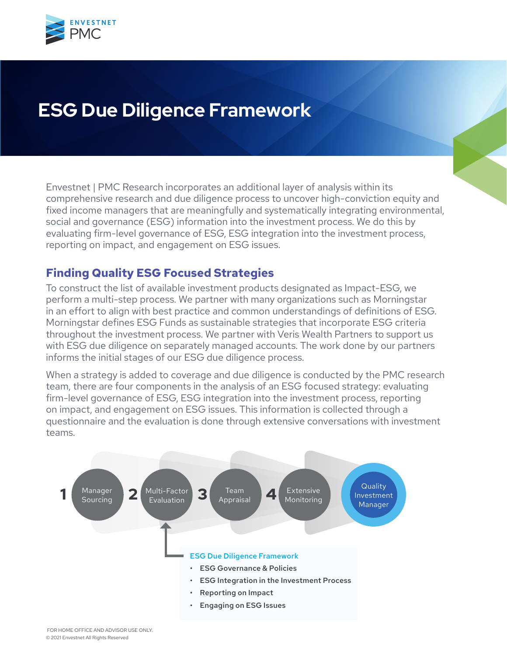

# **ESG Due Diligence Framework**

Envestnet | PMC Research incorporates an additional layer of analysis within its comprehensive research and due diligence process to uncover high-conviction equity and fixed income managers that are meaningfully and systematically integrating environmental, social and governance (ESG) information into the investment process. We do this by evaluating firm-level governance of ESG, ESG integration into the investment process, reporting on impact, and engagement on ESG issues.

## **Finding Quality ESG Focused Strategies**

To construct the list of available investment products designated as Impact-ESG, we perform a multi-step process. We partner with many organizations such as Morningstar in an effort to align with best practice and common understandings of definitions of ESG. Morningstar defines ESG Funds as sustainable strategies that incorporate ESG criteria throughout the investment process. We partner with Veris Wealth Partners to support us with ESG due diligence on separately managed accounts. The work done by our partners informs the initial stages of our ESG due diligence process.

When a strategy is added to coverage and due diligence is conducted by the PMC research team, there are four components in the analysis of an ESG focused strategy: evaluating firm-level governance of ESG, ESG integration into the investment process, reporting on impact, and engagement on ESG issues. This information is collected through a questionnaire and the evaluation is done through extensive conversations with investment teams.

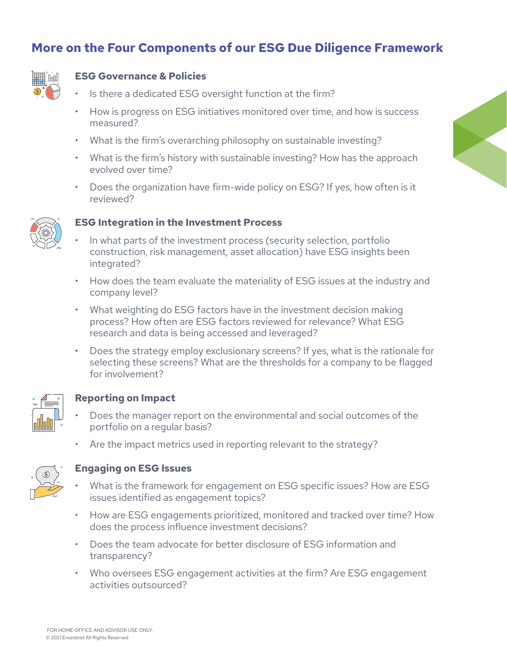## **More on the Four Components of our ESG Due Diligence Framework**



### **ESG Governance & Policies**

- Is there a dedicated ESG oversight function at the firm?
- How is progress on ESG initiatives monitored over time, and how is success measured?
- What is the firm's overarching philosophy on sustainable investing?
- What is the firm's history with sustainable investing? How has the approach evolved over time?
- Does the organization have firm-wide policy on ESG? If yes, how often is it reviewed?



#### **ESG Integration in the Investment Process**

- In what parts of the investment process (security selection, portfolio construction, risk management, asset allocation) have ESG insights been integrated?
- How does the team evaluate the materiality of ESG issues at the industry and company level?
- What weighting do ESG factors have in the investment decision making process? How often are ESG factors reviewed for relevance? What ESG research and data is being accessed and leveraged?
- Does the strategy employ exclusionary screens? If yes, what is the rationale for selecting these screens? What are the thresholds for a company to be flagged for involvement?



### **Reporting on Impact**

- Does the manager report on the environmental and social outcomes of the portfolio on a regular basis?
- Are the impact metrics used in reporting relevant to the strategy?



### **Engaging on ESG Issues**

- What is the framework for engagement on ESG specific issues? How are ESG issues identified as engagement topics?
- How are ESG engagements prioritized, monitored and tracked over time? How does the process influence investment decisions?
- Does the team advocate for better disclosure of ESG information and transparency?
- Who oversees ESG engagement activities at the firm? Are ESG engagement activities outsourced?